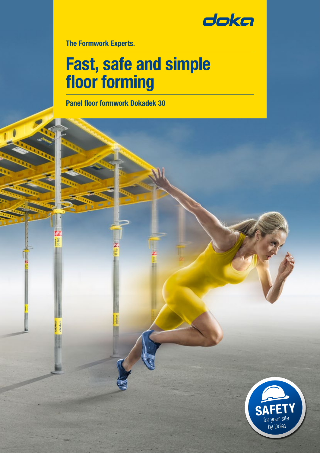

The Formwork Experts.

# Fast, safe and simple floor forming

Panel floor formwork Dokadek 30

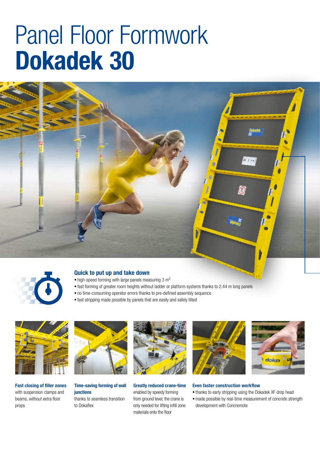# Panel Floor Formwork Dokadek 30





#### Quick to put up and take down

- $\blacksquare$  high-speed forming with large panels measuring 3 m<sup>2</sup>
- fast forming of greater room heights without ladder or platform systems thanks to 2.44 m long panels
- no time-consuming operator errors thanks to pre-defined assembly sequence
- fast stripping made possible by panels that are easily and safely tilted



Fast closing of filler zones with suspension clamps and beams, without extra floor props



### Time-saving forming of wall iunctions

thanks to seamless transition to Dokaflex



Greatly reduced crane-time enabled by speedy forming from ground level; the crane is only needed for lifting infill zone materials onto the floor





#### Even faster construction workflow

- thanks to early stripping using the Dokadek XF drop head
- made possible by real-time measurement of concrete strength development with Concremote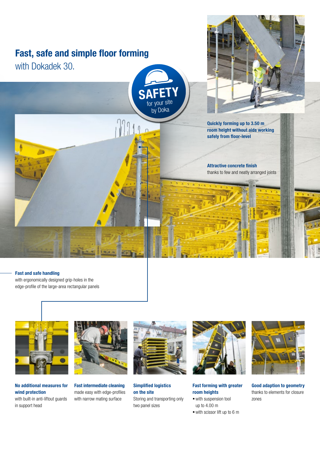## Fast, safe and simple floor forming

with Dokadek 30.



 $\sqrt{2}$ 



Quickly forming up to 3.50 m room height without aids working safely from floor-level

Attractive concrete finish thanks to few and neatly arranged joints

#### Fast and safe handling

with ergonomically designed grip-holes in the edge-profile of the large-area rectangular panels



No additional measures for wind protection with built-in anti-liftout quards in support head



Fast intermediate cleaning made easy with edge-profiles with narrow mating surface



Simplified logistics on the site Storing and transporting only two panel sizes



Fast forming with greater room heights

- with suspension tool up to 4.00 m
- with scissor lift up to 6 m



Good adaption to geometry thanks to elements for closure zones